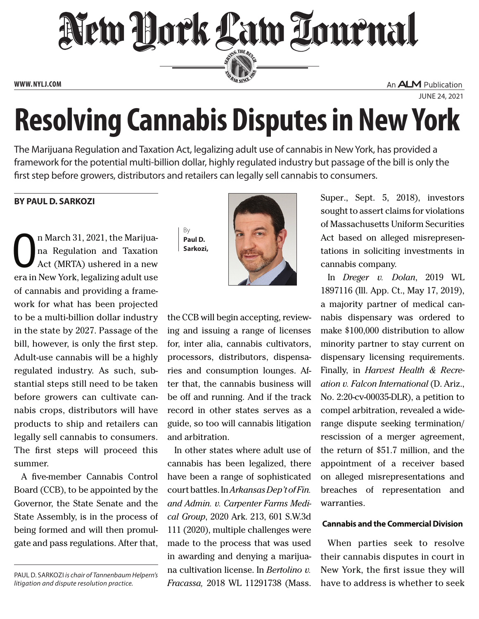

**www. NYLJ.com**

An **ALM** Publication

June 24, 2021

# **Resolving Cannabis Disputes in New York**

The Marijuana Regulation and Taxation Act, legalizing adult use of cannabis in New York, has provided a framework for the potential multi-billion dollar, highly regulated industry but passage of the bill is only the first step before growers, distributors and retailers can legally sell cannabis to consumers.

# **by Paul D. Sarkozi**

O n March 31, 2021, the Marijuana Regulation and Taxation Act (MRTA) ushered in a new era in New York, legalizing adult use of cannabis and providing a framework for what has been projected to be a multi-billion dollar industry in the state by 2027. Passage of the bill, however, is only the first step. Adult-use cannabis will be a highly regulated industry. As such, substantial steps still need to be taken before growers can cultivate cannabis crops, distributors will have products to ship and retailers can legally sell cannabis to consumers. The first steps will proceed this summer.

A five-member Cannabis Control Board (CCB), to be appointed by the Governor, the State Senate and the State Assembly, is in the process of being formed and will then promulgate and pass regulations. After that,

Paul D. Sarkozi *is chair of Tannenbaum Helpern's litigation and dispute resolution practice.*

By **Paul D. Sarkozi,**



the CCB will begin accepting, reviewing and issuing a range of licenses for, inter alia, cannabis cultivators, processors, distributors, dispensaries and consumption lounges. After that, the cannabis business will be off and running. And if the track record in other states serves as a guide, so too will cannabis litigation and arbitration.

In other states where adult use of cannabis has been legalized, there have been a range of sophisticated court battles. In *Arkansas Dep't of Fin. and Admin. v. Carpenter Farms Medical Group*, 2020 Ark. 213, 601 S.W.3d 111 (2020), multiple challenges were made to the process that was used in awarding and denying a marijuana cultivation license. In *Bertolino v. Fracassa,* 2018 WL 11291738 (Mass. Super., Sept. 5, 2018), investors sought to assert claims for violations of Massachusetts Uniform Securities Act based on alleged misrepresentations in soliciting investments in cannabis company.

In *Dreger v. Dolan*, 2019 WL 1897116 (Ill. App. Ct., May 17, 2019), a majority partner of medical cannabis dispensary was ordered to make \$100,000 distribution to allow minority partner to stay current on dispensary licensing requirements. Finally, in *Harvest Health & Recreation v. Falcon International* (D. Ariz., No. 2:20-cv-00035-DLR), a petition to compel arbitration, revealed a widerange dispute seeking termination/ rescission of a merger agreement, the return of \$51.7 million, and the appointment of a receiver based on alleged misrepresentations and breaches of representation and warranties.

## **Cannabis and the Commercial Division**

When parties seek to resolve their cannabis disputes in court in New York, the first issue they will have to address is whether to seek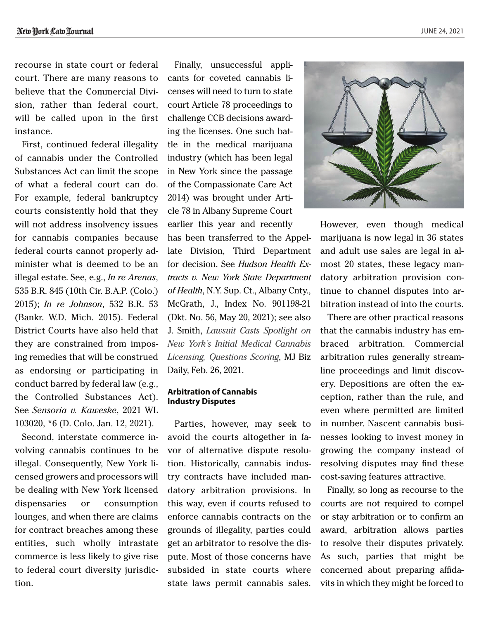June 24, 2021

recourse in state court or federal court. There are many reasons to believe that the Commercial Division, rather than federal court, will be called upon in the first instance.

First, continued federal illegality of cannabis under the Controlled Substances Act can limit the scope of what a federal court can do. For example, federal bankruptcy courts consistently hold that they will not address insolvency issues for cannabis companies because federal courts cannot properly administer what is deemed to be an illegal estate. See, e.g., *In re Arenas*, 535 B.R. 845 (10th Cir. B.A.P. (Colo.) 2015); *In re Johnson*, 532 B.R. 53 (Bankr. W.D. Mich. 2015). Federal District Courts have also held that they are constrained from imposing remedies that will be construed as endorsing or participating in conduct barred by federal law (e.g., the Controlled Substances Act). See *Sensoria v. Kaweske*, 2021 WL 103020, \*6 (D. Colo. Jan. 12, 2021).

Second, interstate commerce involving cannabis continues to be illegal. Consequently, New York licensed growers and processors will be dealing with New York licensed dispensaries or consumption lounges, and when there are claims for contract breaches among these entities, such wholly intrastate commerce is less likely to give rise to federal court diversity jurisdiction.

Finally, unsuccessful applicants for coveted cannabis licenses will need to turn to state court Article 78 proceedings to challenge CCB decisions awarding the licenses. One such battle in the medical marijuana industry (which has been legal in New York since the passage of the Compassionate Care Act 2014) was brought under Article 78 in Albany Supreme Court earlier this year and recently

has been transferred to the Appellate Division, Third Department for decision. See *Hudson Health Extracts v. New York State Department of Health*, N.Y. Sup. Ct., Albany Cnty., McGrath, J., Index No. 901198-21 (Dkt. No. 56, May 20, 2021); see also J. Smith, *[Lawsuit Casts Spotlight on](https://mjbizdaily.com/lawsuit-casts-spotlight-on-new-york-medical-cannabis-licensing/)  [New York's Initial Medical Cannabis](https://mjbizdaily.com/lawsuit-casts-spotlight-on-new-york-medical-cannabis-licensing/)  [Licensing, Questions Scoring](https://mjbizdaily.com/lawsuit-casts-spotlight-on-new-york-medical-cannabis-licensing/)*, MJ Biz Daily, Feb. 26, 2021.

#### **Arbitration of Cannabis Industry Disputes**

Parties, however, may seek to avoid the courts altogether in favor of alternative dispute resolution. Historically, cannabis industry contracts have included mandatory arbitration provisions. In this way, even if courts refused to enforce cannabis contracts on the grounds of illegality, parties could get an arbitrator to resolve the dispute. Most of those concerns have subsided in state courts where state laws permit cannabis sales.



However, even though medical marijuana is now legal in 36 states and adult use sales are legal in almost 20 states, these legacy mandatory arbitration provision continue to channel disputes into arbitration instead of into the courts.

There are other practical reasons that the cannabis industry has embraced arbitration. Commercial arbitration rules generally streamline proceedings and limit discovery. Depositions are often the exception, rather than the rule, and even where permitted are limited in number. Nascent cannabis businesses looking to invest money in growing the company instead of resolving disputes may find these cost-saving features attractive.

Finally, so long as recourse to the courts are not required to compel or stay arbitration or to confirm an award, arbitration allows parties to resolve their disputes privately. As such, parties that might be concerned about preparing affidavits in which they might be forced to